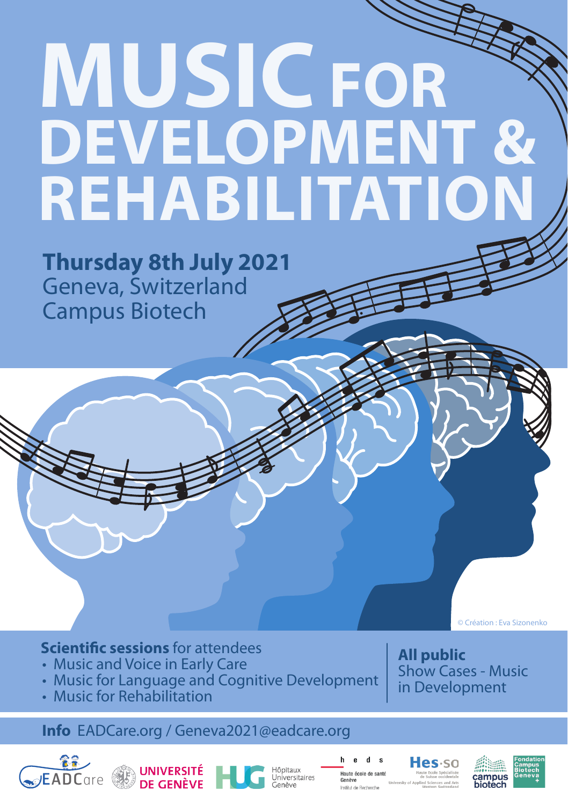# **MUSICFOR DEVELOPMENT & REHABILITATION**

**Thursday 8th July 2021** Geneva, Switzerland Campus Biotech

© Création : Eva Sizonenko

## **Scientific sessions** for attendees

- Music and Voice in Early Care
- Music for Language and Cognitive Development
- Music for Rehabilitation

## **Info** EADCare.org / Geneva2020@eadcare.org **Info** EADCare.org / Geneva2021@eadcare.org





Universitaires

h  $d$  s  $\mathbf{e}$ Institut de Recherch

Hes·so

**All public** 

Show Cases - Music in Development



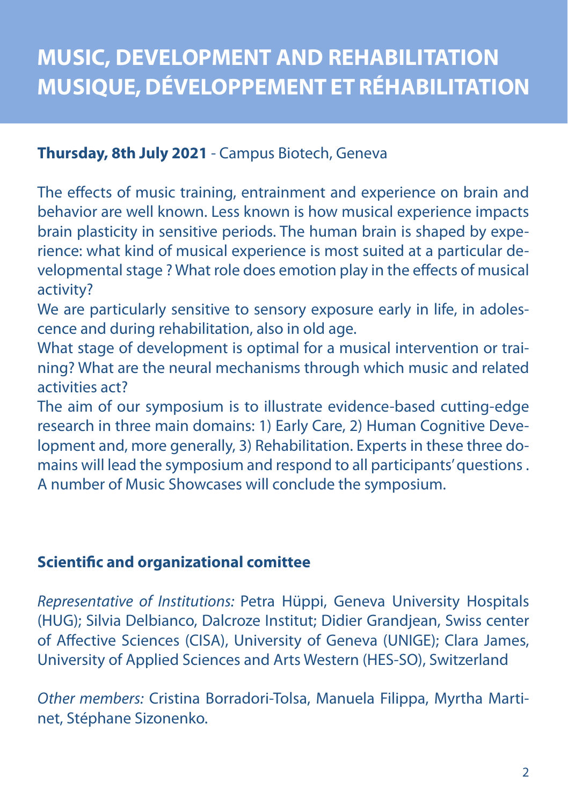# **Thursday, 8th July 2021** - Campus Biotech, Geneva

The effects of music training, entrainment and experience on brain and behavior are well known. Less known is how musical experience impacts brain plasticity in sensitive periods. The human brain is shaped by experience: what kind of musical experience is most suited at a particular developmental stage ? What role does emotion play in the effects of musical activity?

We are particularly sensitive to sensory exposure early in life, in adolescence and during rehabilitation, also in old age.

What stage of development is optimal for a musical intervention or training? What are the neural mechanisms through which music and related activities act?

The aim of our symposium is to illustrate evidence-based cutting-edge research in three main domains: 1) Early Care, 2) Human Cognitive Development and, more generally, 3) Rehabilitation. Experts in these three domains will lead the symposium and respond to all participants' questions . A number of Music Showcases will conclude the symposium.

# **Scientific and organizational comittee**

*Representative of Institutions:* Petra Hüppi, Geneva University Hospitals (HUG); Silvia Delbianco, Dalcroze Institut; Didier Grandjean, Swiss center of Affective Sciences (CISA), University of Geneva (UNIGE); Clara James, University of Applied Sciences and Arts Western (HES-SO), Switzerland

*Other members:* Cristina Borradori-Tolsa, Manuela Filippa, Myrtha Martinet, Stéphane Sizonenko.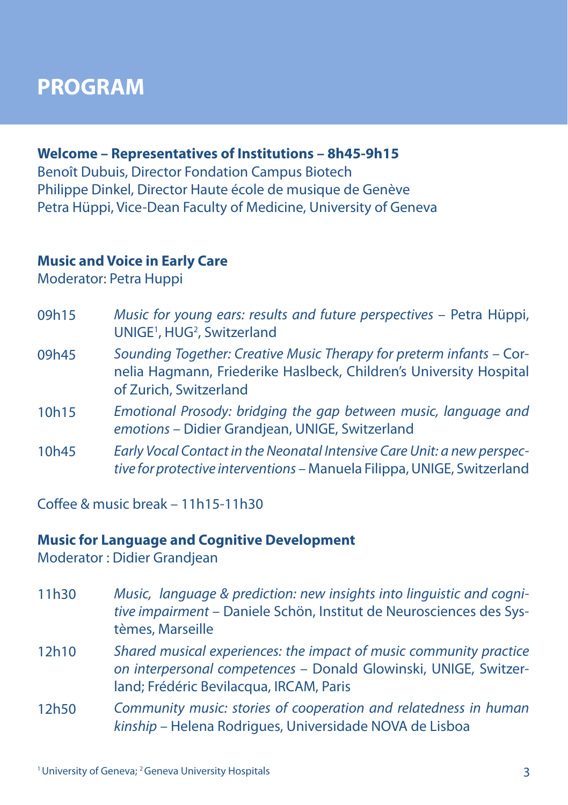# **PROGRAM**

## **Welcome – Representatives of Institutions – 8h45-9h15**

Benoît Dubuis, Director Fondation Campus Biotech Philippe Dinkel, Director Haute école de musique de Genève Petra Hüppi, Vice-Dean Faculty of Medicine, University of Geneva

#### **Music and Voice in Early Care**

Moderator: Petra Huppi

| 09h15 | Music for young ears: results and future perspectives - Petra Hüppi,<br>UNIGE <sup>1</sup> , HUG <sup>2</sup> , Switzerland                                          |
|-------|----------------------------------------------------------------------------------------------------------------------------------------------------------------------|
| 09h45 | Sounding Together: Creative Music Therapy for preterm infants - Cor-<br>nelia Hagmann, Friederike Haslbeck, Children's University Hospital<br>of Zurich, Switzerland |
| 10h15 | Emotional Prosody: bridging the gap between music, language and<br>emotions - Didier Grandjean, UNIGE, Switzerland                                                   |
| 10h45 | Early Vocal Contact in the Neonatal Intensive Care Unit: a new perspec-<br>tive for protective interventions - Manuela Filippa, UNIGE, Switzerland                   |

 $Coffa<sub>P</sub>$  & music break – 11h15-11h30

#### **Music for Language and Cognitive Development**

Moderator : Didier Grandjean

- *Music, language & prediction: new insights into linguistic and cognitive impairment* – Daniele Schön, Institut de Neurosciences des Systèmes, Marseille 11h30
- *Shared musical experiences: the impact of music community practice on interpersonal competences* – Donald Glowinski, UNIGE, Switzerland; Frédéric Bevilacqua, IRCAM, Paris 12h10
- *Community music: stories of cooperation and relatedness in human kinship* – Helena Rodrigues, Universidade NOVA de Lisboa 12h50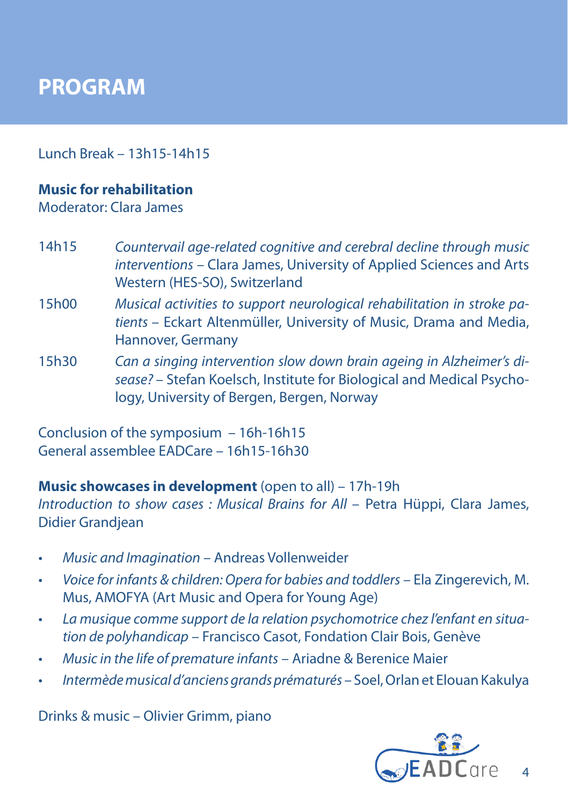# **PROGRAM**

Lunch Break – 13h15-14h15

### **Music for rehabilitation**

Moderator: Clara James

- *Countervail age-related cognitive and cerebral decline through music interventions* – Clara James, University of Applied Sciences and Arts Western (HES-SO), Switzerland 14h15
- *Musical activities to support neurological rehabilitation in stroke patients* – Eckart Altenmüller, University of Music, Drama and Media, Hannover, Germany 15h00
- *Can a singing intervention slow down brain ageing in Alzheimer's disease?* – Stefan Koelsch, Institute for Biological and Medical Psychology, University of Bergen, Bergen, Norway 15h30

Conclusion of the symposium – 16h-16h15 General assemblee EADCare – 16h15-16h30

**Music showcases in development** (open to all) – 17h-19h *Introduction to show cases : Musical Brains for All – Petra Hüppi, Clara James,* Didier Grandjean

- *• Music and Imagination* Andreas Vollenweider
- *• Voice for infants & children: Opera for babies and toddlers* Ela Zingerevich, M. Mus, AMOFYA (Art Music and Opera for Young Age)
- *• La musique comme support de la relation psychomotrice chez l'enfant en situation de polyhandicap* – Francisco Casot, Fondation Clair Bois, Genève
- *• Music in the life of premature infants* Ariadne & Berenice Maier
- *• Intermède musical d'anciens grands prématurés* Soel, Orlan et Elouan Kakulya

Drinks & music – Olivier Grimm, piano